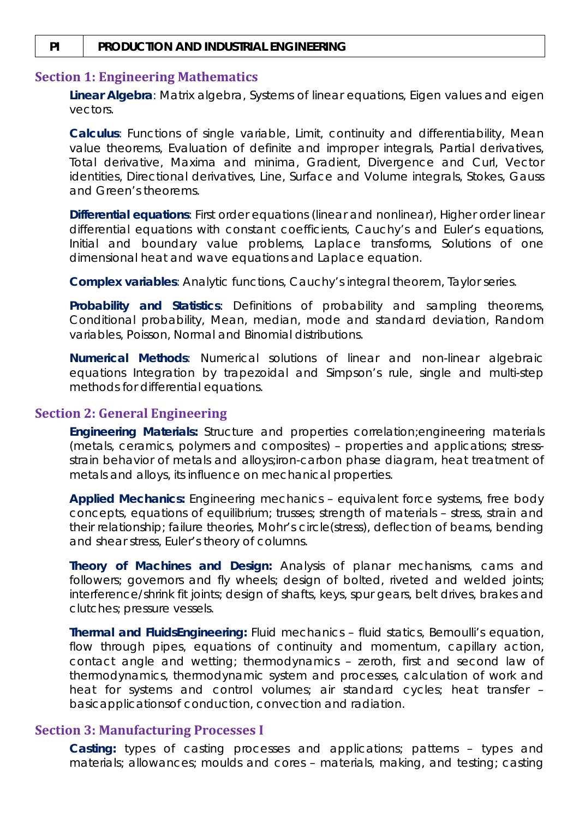#### **PI PRODUCTION AND INDUSTRIAL ENGINEERING**

#### **Section 1: Engineering Mathematics**

**Linear Algebra***:* Matrix algebra, Systems of linear equations, Eigen values and eigen vectors.

**Calculus***:* Functions of single variable, Limit, continuity and differentiability, Mean value theorems, Evaluation of definite and improper integrals, Partial derivatives, Total derivative, Maxima and minima, Gradient, Divergence and Curl, Vector identities, Directional derivatives, Line, Surface and Volume integrals, Stokes, Gauss and Green's theorems.

**Differential equations***:* First order equations (linear and nonlinear), Higher order linear differential equations with constant coefficients, Cauchy's and Euler's equations, Initial and boundary value problems, Laplace transforms, Solutions of one dimensional heat and wave equations and Laplace equation.

**Complex variables***:* Analytic functions, Cauchy's integral theorem, Taylor series.

**Probability and Statistics***:* Definitions of probability and sampling theorems, Conditional probability, Mean, median, mode and standard deviation, Random variables, Poisson, Normal and Binomial distributions.

**Numerical Methods***:* Numerical solutions of linear and non-linear algebraic equations Integration by trapezoidal and Simpson's rule, single and multi-step methods for differential equations.

#### **Section 2: General Engineering**

**Engineering Materials:** Structure and properties correlation;engineering materials (metals, ceramics, polymers and composites) – properties and applications; stressstrain behavior of metals and alloys;iron-carbon phase diagram, heat treatment of metals and alloys, its influence on mechanical properties.

**Applied Mechanics:** Engineering mechanics – equivalent force systems, free body concepts, equations of equilibrium; trusses; strength of materials – stress, strain and their relationship; failure theories, Mohr's circle(stress), deflection of beams, bending and shear stress, Euler's theory of columns.

**Theory of Machines and Design:** Analysis of planar mechanisms, cams and followers; governors and fly wheels; design of bolted, riveted and welded joints; interference/shrink fit joints; design of shafts, keys, spur gears, belt drives, brakes and clutches; pressure vessels.

**Thermal and FluidsEngineering:** Fluid mechanics – fluid statics, Bernoulli's equation, flow through pipes, equations of continuity and momentum, capillary action, contact angle and wetting; thermodynamics – zeroth, first and second law of thermodynamics, thermodynamic system and processes, calculation of work and heat for systems and control volumes; air standard cycles; heat transfer – basicapplicationsof conduction, convection and radiation.

#### **Section 3: Manufacturing Processes I**

**Casting:** types of casting processes and applications; patterns – types and materials; allowances; moulds and cores – materials, making, and testing; casting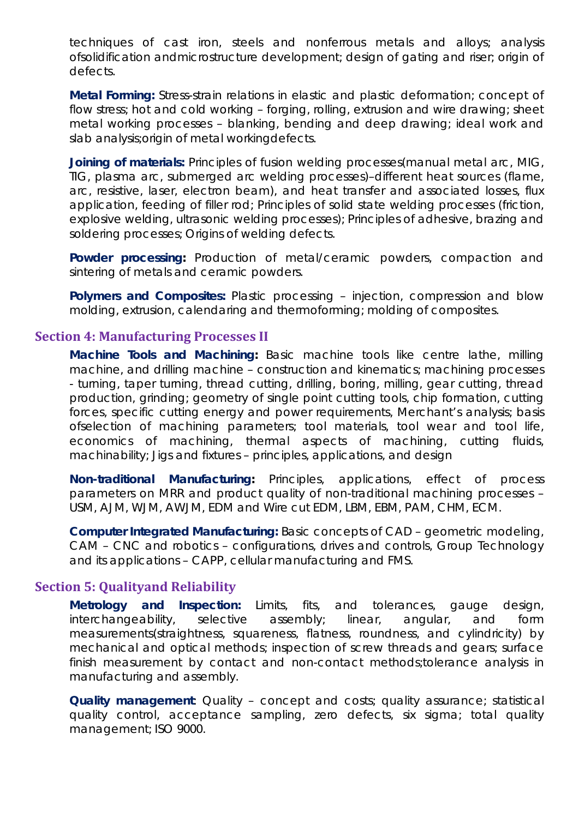techniques of cast iron, steels and nonferrous metals and alloys; analysis ofsolidification andmicrostructure development; design of gating and riser; origin of defects.

**Metal Forming:** Stress-strain relations in elastic and plastic deformation; concept of flow stress; hot and cold working – forging, rolling, extrusion and wire drawing; sheet metal working processes – blanking, bending and deep drawing; ideal work and slab analysis;origin of metal workingdefects.

**Joining of materials:** Principles of fusion welding processes(manual metal arc, MIG, TIG, plasma arc, submerged arc welding processes)–different heat sources (flame, arc, resistive, laser, electron beam), and heat transfer and associated losses, flux application, feeding of filler rod; Principles of solid state welding processes (friction, explosive welding, ultrasonic welding processes); Principles of adhesive, brazing and soldering processes; Origins of welding defects.

**Powder processing:** Production of metal/ceramic powders, compaction and sintering of metals and ceramic powders.

**Polymers and Composites:** Plastic processing – injection, compression and blow molding, extrusion, calendaring and thermoforming; molding of composites.

# **Section 4: Manufacturing Processes II**

**Machine Tools and Machining:** Basic machine tools like centre lathe, milling machine, and drilling machine – construction and kinematics; machining processes - turning, taper turning, thread cutting, drilling, boring, milling, gear cutting, thread production, grinding; geometry of single point cutting tools, chip formation, cutting forces, specific cutting energy and power requirements, Merchant's analysis; basis ofselection of machining parameters; tool materials, tool wear and tool life, economics of machining, thermal aspects of machining, cutting fluids, machinability; Jigs and fixtures – principles, applications, and design

**Non-traditional Manufacturing:** Principles, applications, effect of process parameters on MRR and product quality of non-traditional machining processes – USM, AJM, WJM, AWJM, EDM and Wire cut EDM, LBM, EBM, PAM, CHM, ECM.

**Computer Integrated Manufacturing:** Basic concepts of CAD – geometric modeling, CAM – CNC and robotics – configurations, drives and controls, Group Technology and its applications – CAPP, cellular manufacturing and FMS.

### **Section 5: Qualityand Reliability**

**Metrology and Inspection:** Limits, fits, and tolerances, gauge design, interchangeability, selective assembly; linear, angular, and form measurements(straightness, squareness, flatness, roundness, and cylindricity) by mechanical and optical methods; inspection of screw threads and gears; surface finish measurement by contact and non-contact methods;tolerance analysis in manufacturing and assembly.

**Quality management**: Quality – concept and costs; quality assurance; statistical quality control, acceptance sampling, zero defects, six sigma; total quality management; ISO 9000.